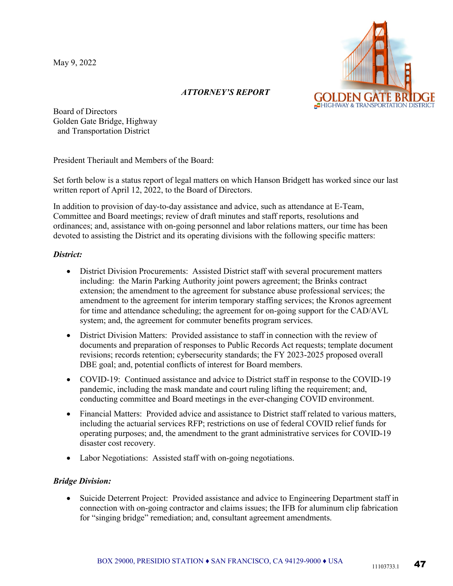May 9, 2022



# *ATTORNEY'S REPORT*

Board of Directors Golden Gate Bridge, Highway and Transportation District

President Theriault and Members of the Board:

Set forth below is a status report of legal matters on which Hanson Bridgett has worked since our last written report of April 12, 2022, to the Board of Directors.

In addition to provision of day-to-day assistance and advice, such as attendance at E-Team, Committee and Board meetings; review of draft minutes and staff reports, resolutions and ordinances; and, assistance with on-going personnel and labor relations matters, our time has been devoted to assisting the District and its operating divisions with the following specific matters:

### *District:*

- District Division Procurements: Assisted District staff with several procurement matters including: the Marin Parking Authority joint powers agreement; the Brinks contract extension; the amendment to the agreement for substance abuse professional services; the amendment to the agreement for interim temporary staffing services; the Kronos agreement for time and attendance scheduling; the agreement for on-going support for the CAD/AVL system; and, the agreement for commuter benefits program services.
- District Division Matters: Provided assistance to staff in connection with the review of documents and preparation of responses to Public Records Act requests; template document revisions; records retention; cybersecurity standards; the FY 2023-2025 proposed overall DBE goal; and, potential conflicts of interest for Board members.
- COVID-19: Continued assistance and advice to District staff in response to the COVID-19 pandemic, including the mask mandate and court ruling lifting the requirement; and, conducting committee and Board meetings in the ever-changing COVID environment.
- Financial Matters: Provided advice and assistance to District staff related to various matters, including the actuarial services RFP; restrictions on use of federal COVID relief funds for operating purposes; and, the amendment to the grant administrative services for COVID-19 disaster cost recovery.
- Labor Negotiations: Assisted staff with on-going negotiations.

### *Bridge Division:*

• Suicide Deterrent Project: Provided assistance and advice to Engineering Department staff in connection with on-going contractor and claims issues; the IFB for aluminum clip fabrication for "singing bridge" remediation; and, consultant agreement amendments.